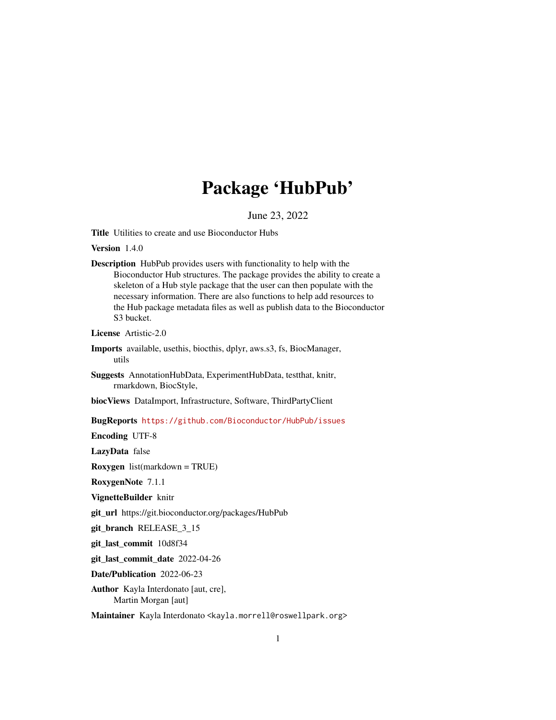## Package 'HubPub'

June 23, 2022

Title Utilities to create and use Bioconductor Hubs

Version 1.4.0

Description HubPub provides users with functionality to help with the Bioconductor Hub structures. The package provides the ability to create a skeleton of a Hub style package that the user can then populate with the necessary information. There are also functions to help add resources to the Hub package metadata files as well as publish data to the Bioconductor S3 bucket.

License Artistic-2.0

Imports available, usethis, biocthis, dplyr, aws.s3, fs, BiocManager, utils

Suggests AnnotationHubData, ExperimentHubData, testthat, knitr, rmarkdown, BiocStyle,

biocViews DataImport, Infrastructure, Software, ThirdPartyClient

BugReports <https://github.com/Bioconductor/HubPub/issues>

Encoding UTF-8

LazyData false

Roxygen list(markdown = TRUE)

RoxygenNote 7.1.1

VignetteBuilder knitr

git\_url https://git.bioconductor.org/packages/HubPub

git\_branch RELEASE\_3\_15

git\_last\_commit 10d8f34

git\_last\_commit\_date 2022-04-26

Date/Publication 2022-06-23

Author Kayla Interdonato [aut, cre], Martin Morgan [aut]

Maintainer Kayla Interdonato <kayla.morrell@roswellpark.org>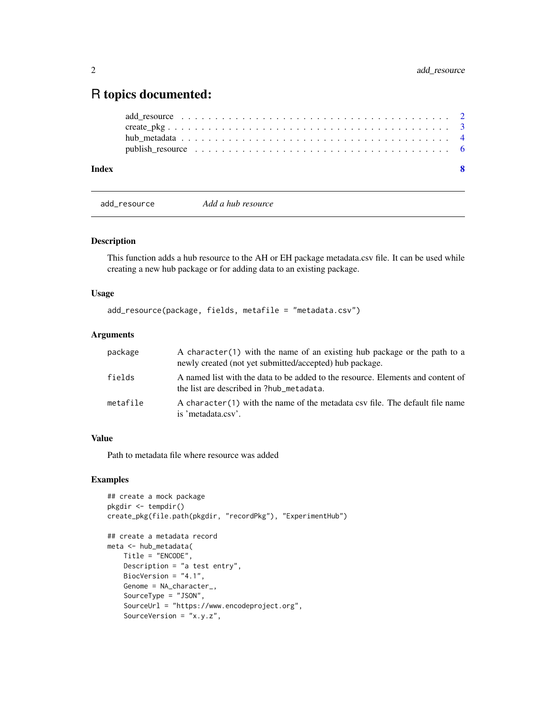### <span id="page-1-0"></span>R topics documented:

| Index | $\mathbf{Q}$ |
|-------|--------------|
|       |              |
|       |              |
|       |              |
|       |              |

add\_resource *Add a hub resource*

#### Description

This function adds a hub resource to the AH or EH package metadata.csv file. It can be used while creating a new hub package or for adding data to an existing package.

#### Usage

```
add_resource(package, fields, metafile = "metadata.csv")
```
#### Arguments

| package  | A character(1) with the name of an existing hub package or the path to a<br>newly created (not yet submitted/accepted) hub package. |
|----------|-------------------------------------------------------------------------------------------------------------------------------------|
| fields   | A named list with the data to be added to the resource. Elements and content of<br>the list are described in ?hub_metadata.         |
| metafile | A character (1) with the name of the metadata csy file. The default file name<br>is 'metadata.csv'.                                 |

#### Value

Path to metadata file where resource was added

#### Examples

```
## create a mock package
pkgdir <- tempdir()
create_pkg(file.path(pkgdir, "recordPkg"), "ExperimentHub")
## create a metadata record
meta <- hub_metadata(
   Title = "ENCODE",
   Description = "a test entry",
   BiocVersion = "4.1",
   Genome = NA_character_,
   SourceType = "JSON",
   SourceUrl = "https://www.encodeproject.org",
   SourceVersion = "x.y.z",
```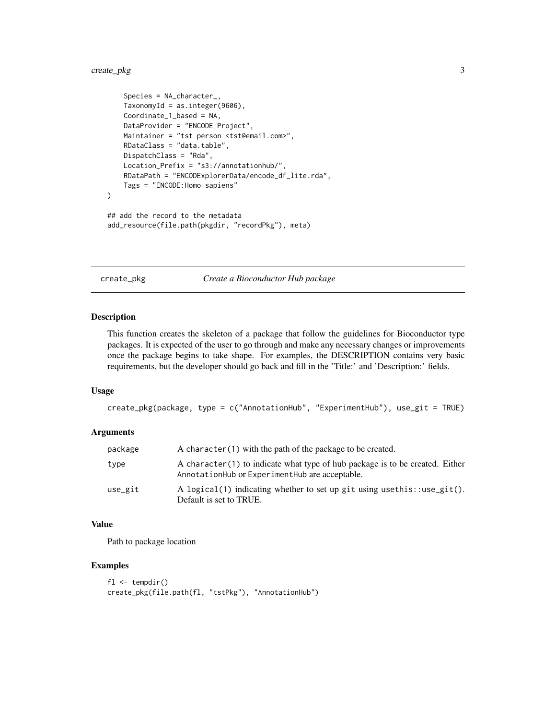#### <span id="page-2-0"></span>create\_pkg 3

```
Species = NA_character_,
   TaxonomyId = as.integer(9606),
   Coordinate_1_based = NA,
   DataProvider = "ENCODE Project",
   Maintainer = "tst person <tst@email.com>",
   RDataClass = "data.table",
   DispatchClass = "Rda",
   Location_Prefix = "s3://annotationhub/",
   RDataPath = "ENCODExplorerData/encode_df_lite.rda",
   Tags = "ENCODE:Homo sapiens"
)
## add the record to the metadata
add_resource(file.path(pkgdir, "recordPkg"), meta)
```
create\_pkg *Create a Bioconductor Hub package*

#### Description

This function creates the skeleton of a package that follow the guidelines for Bioconductor type packages. It is expected of the user to go through and make any necessary changes or improvements once the package begins to take shape. For examples, the DESCRIPTION contains very basic requirements, but the developer should go back and fill in the 'Title:' and 'Description:' fields.

#### Usage

```
create_pkg(package, type = c("AnnotationHub", "ExperimentHub"), use_git = TRUE)
```
#### **Arguments**

| package | A character (1) with the path of the package to be created.                                                                     |
|---------|---------------------------------------------------------------------------------------------------------------------------------|
| type    | A character (1) to indicate what type of hub package is to be created. Either<br>AnnotationHub or ExperimentHub are acceptable. |
| use_git | A logical(1) indicating whether to set up git using use this: : use_git().<br>Default is set to TRUE.                           |

#### Value

Path to package location

#### Examples

```
f1 \leftarrow tempdir()create_pkg(file.path(fl, "tstPkg"), "AnnotationHub")
```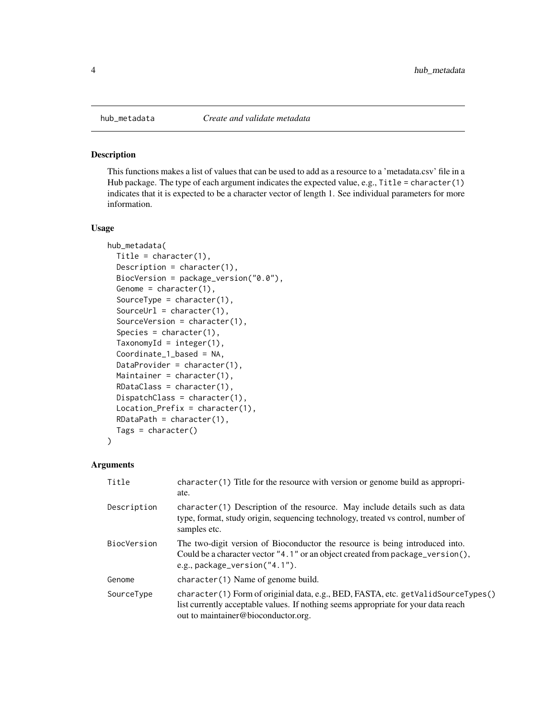<span id="page-3-0"></span>

#### Description

This functions makes a list of values that can be used to add as a resource to a 'metadata.csv' file in a Hub package. The type of each argument indicates the expected value, e.g.,  $Title = character(1)$ indicates that it is expected to be a character vector of length 1. See individual parameters for more information.

#### Usage

```
hub_metadata(
  Title = character(1),
  Description = character(1),
  BiocVersion = package_version("0.0"),
  Genome = character(1),
  SourceType = character(1),
  SourceUrl = character(1),
  SourceVersion = character(1),
  Species = character(1),
  TaxonomyId = integer(1),
  Coordinate_1_based = NA,
  DataProvider = character(1),
  Maintainer = character(1),
  RDataClass = character(1),
  DispatchClass = character(1),
  Location_Prefix = character(1),
  RDataPath = character(1),
  Tags = character()
\lambda
```
#### **Arguments**

| Title       | $character(1)$ Title for the resource with version or genome build as appropri-<br>ate.                                                                                                                        |
|-------------|----------------------------------------------------------------------------------------------------------------------------------------------------------------------------------------------------------------|
| Description | character (1) Description of the resource. May include details such as data<br>type, format, study origin, sequencing technology, treated vs control, number of<br>samples etc.                                |
| BiocVersion | The two-digit version of Bioconductor the resource is being introduced into.<br>Could be a character vector $"4.1"$ or an object created from package_version(),<br>e.g., package_version("4.1").              |
| Genome      | $character(1)$ Name of genome build.                                                                                                                                                                           |
| SourceType  | character(1) Form of originial data, e.g., BED, FASTA, etc. getValidSourceTypes()<br>list currently acceptable values. If nothing seems appropriate for your data reach<br>out to maintainer@bioconductor.org. |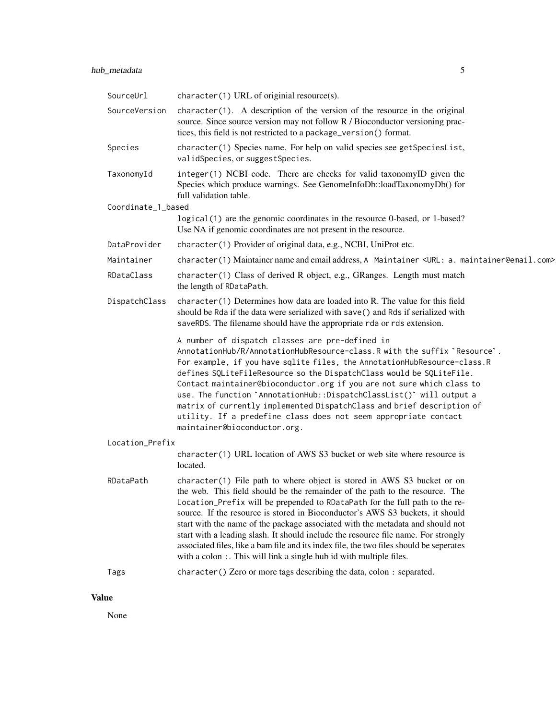#### hub\_metadata 5

| SourceUrl          | character(1) URL of originial resource(s).                                                                                                                                                                                                                                                                                                                                                                                                                                                                                                                                                                                                                       |
|--------------------|------------------------------------------------------------------------------------------------------------------------------------------------------------------------------------------------------------------------------------------------------------------------------------------------------------------------------------------------------------------------------------------------------------------------------------------------------------------------------------------------------------------------------------------------------------------------------------------------------------------------------------------------------------------|
| SourceVersion      | $character(1)$ . A description of the version of the resource in the original<br>source. Since source version may not follow R / Bioconductor versioning prac-<br>tices, this field is not restricted to a package_version() format.                                                                                                                                                                                                                                                                                                                                                                                                                             |
| Species            | character(1) Species name. For help on valid species see getSpeciesList,<br>validSpecies, or suggestSpecies.                                                                                                                                                                                                                                                                                                                                                                                                                                                                                                                                                     |
| TaxonomyId         | integer(1) NCBI code. There are checks for valid taxonomyID given the<br>Species which produce warnings. See GenomeInfoDb::loadTaxonomyDb() for<br>full validation table.                                                                                                                                                                                                                                                                                                                                                                                                                                                                                        |
| Coordinate_1_based |                                                                                                                                                                                                                                                                                                                                                                                                                                                                                                                                                                                                                                                                  |
|                    | logical (1) are the genomic coordinates in the resource 0-based, or 1-based?<br>Use NA if genomic coordinates are not present in the resource.                                                                                                                                                                                                                                                                                                                                                                                                                                                                                                                   |
| DataProvider       | character(1) Provider of original data, e.g., NCBI, UniProt etc.                                                                                                                                                                                                                                                                                                                                                                                                                                                                                                                                                                                                 |
| Maintainer         | character(1) Maintainer name and email address, A Maintainer <url: a.="" maintainer@email.com=""></url:>                                                                                                                                                                                                                                                                                                                                                                                                                                                                                                                                                         |
| RDataClass         | character(1) Class of derived R object, e.g., GRanges. Length must match<br>the length of RDataPath.                                                                                                                                                                                                                                                                                                                                                                                                                                                                                                                                                             |
| DispatchClass      | $character(1)$ Determines how data are loaded into R. The value for this field<br>should be Rda if the data were serialized with save() and Rds if serialized with<br>saveRDS. The filename should have the appropriate rda or rds extension.                                                                                                                                                                                                                                                                                                                                                                                                                    |
|                    | A number of dispatch classes are pre-defined in<br>AnnotationHub/R/AnnotationHubResource-class.R with the suffix `Resource`.<br>For example, if you have sqlite files, the AnnotationHubResource-class.R<br>defines SQLiteFileResource so the DispatchClass would be SQLiteFile.<br>Contact maintainer@bioconductor.org if you are not sure which class to<br>use. The function `AnnotationHub::DispatchClassList()` will output a<br>matrix of currently implemented DispatchClass and brief description of<br>utility. If a predefine class does not seem appropriate contact<br>maintainer@bioconductor.org.                                                  |
| Location_Prefix    |                                                                                                                                                                                                                                                                                                                                                                                                                                                                                                                                                                                                                                                                  |
|                    | character(1) URL location of AWS S3 bucket or web site where resource is<br>located.                                                                                                                                                                                                                                                                                                                                                                                                                                                                                                                                                                             |
| RDataPath          | character(1) File path to where object is stored in AWS S3 bucket or on<br>the web. This field should be the remainder of the path to the resource. The<br>Location_Prefix will be prepended to RDataPath for the full path to the re-<br>source. If the resource is stored in Bioconductor's AWS S3 buckets, it should<br>start with the name of the package associated with the metadata and should not<br>start with a leading slash. It should include the resource file name. For strongly<br>associated files, like a bam file and its index file, the two files should be seperates<br>with a colon : This will link a single hub id with multiple files. |
| Tags               | character () Zero or more tags describing the data, colon : separated.                                                                                                                                                                                                                                                                                                                                                                                                                                                                                                                                                                                           |

#### Value

None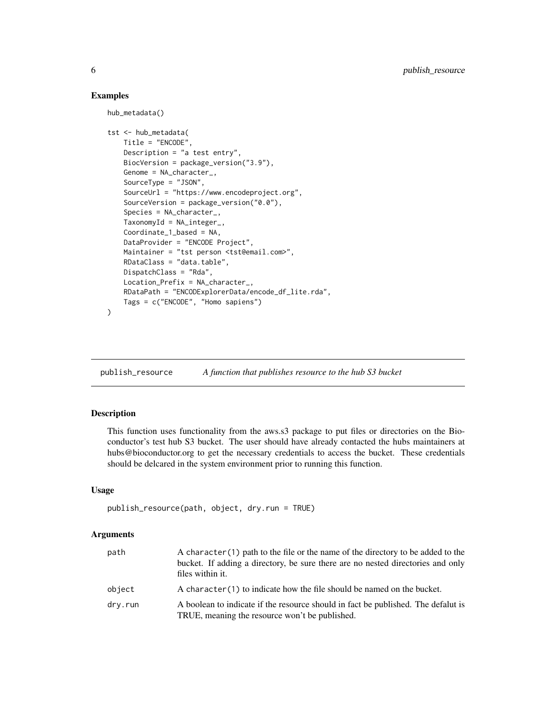#### Examples

```
hub_metadata()
tst <- hub_metadata(
   Title = "ENCODE",
   Description = "a test entry",
   BiocVersion = package_version("3.9"),
   Genome = NA_character_,
   SourceType = "JSON",
   SourceUrl = "https://www.encodeproject.org",
   SourceVersion = package_version("0.0"),
   Species = NA_character_,
   TaxonomyId = NA_integer_Coordinate_1_based = NA,
   DataProvider = "ENCODE Project",
   Maintainer = "tst person <tst@email.com>",
   RDataClass = "data.table",
   DispatchClass = "Rda",
   Location_Prefix = NA_character_,
   RDataPath = "ENCODExplorerData/encode_df_lite.rda",
   Tags = c("ENCODE", "Homo sapiens")
)
```
publish\_resource *A function that publishes resource to the hub S3 bucket*

#### Description

This function uses functionality from the aws.s3 package to put files or directories on the Bioconductor's test hub S3 bucket. The user should have already contacted the hubs maintainers at hubs@bioconductor.org to get the necessary credentials to access the bucket. These credentials should be delcared in the system environment prior to running this function.

#### Usage

```
publish_resource(path, object, dry.run = TRUE)
```
#### Arguments

| path    | A character (1) path to the file or the name of the directory to be added to the<br>bucket. If adding a directory, be sure there are no nested directories and only<br>files within it. |
|---------|-----------------------------------------------------------------------------------------------------------------------------------------------------------------------------------------|
| object  | A character $(1)$ to indicate how the file should be named on the bucket.                                                                                                               |
| dry.run | A boolean to indicate if the resource should in fact be published. The defalut is<br>TRUE, meaning the resource won't be published.                                                     |

<span id="page-5-0"></span>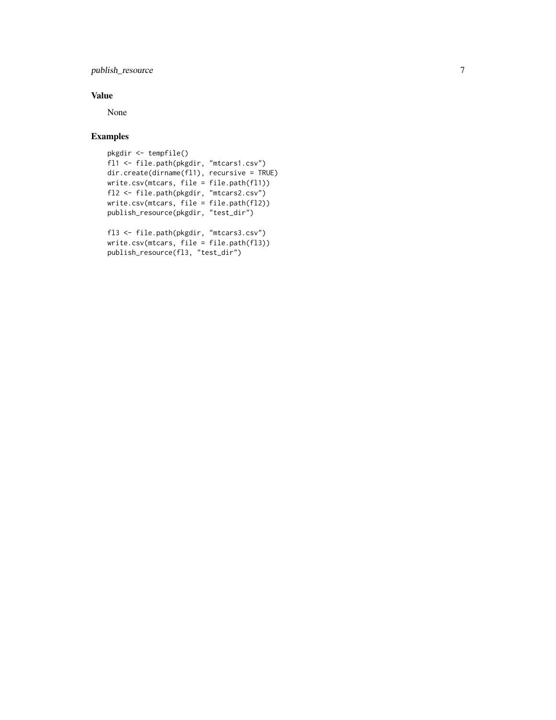publish\_resource

#### Value

None

#### Examples

```
pkgdir <- tempfile()
fl1 <- file.path(pkgdir, "mtcars1.csv")
dir.create(dirname(fl1), recursive = TRUE)
write.csv(mtcars, file = file.path(fl1))
fl2 <- file.path(pkgdir, "mtcars2.csv")
write.csv(mtcars, file = file.path(fl2))
publish_resource(pkgdir, "test_dir")
fl3 <- file.path(pkgdir, "mtcars3.csv")
write.csv(mtcars, file = file.path(fl3))
publish_resource(fl3, "test_dir")
```